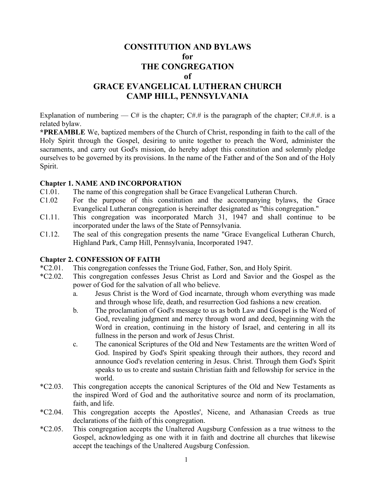# **CONSTITUTION AND BYLAWS for THE CONGREGATION of**

# **GRACE EVANGELICAL LUTHERAN CHURCH CAMP HILL, PENNSYLVANIA**

Explanation of numbering — C# is the chapter; C#.# is the paragraph of the chapter; C#.#.#. is a related bylaw.

**\*PREAMBLE** We, baptized members of the Church of Christ, responding in faith to the call of the Holy Spirit through the Gospel, desiring to unite together to preach the Word, administer the sacraments, and carry out God's mission, do hereby adopt this constitution and solemnly pledge ourselves to be governed by its provisions. In the name of the Father and of the Son and of the Holy Spirit.

#### **Chapter 1. NAME AND INCORPORATION**

- C1.01. The name of this congregation shall be Grace Evangelical Lutheran Church.
- C1.02 For the purpose of this constitution and the accompanying bylaws, the Grace Evangelical Lutheran congregation is hereinafter designated as "this congregation."
- C1.11. This congregation was incorporated March 31, 1947 and shall continue to be incorporated under the laws of the State of Pennsylvania.
- C1.12. The seal of this congregation presents the name "Grace Evangelical Lutheran Church, Highland Park, Camp Hill, Pennsylvania, Incorporated 1947.

#### **Chapter 2. CONFESSION OF FAITH**

- \*C2.01. This congregation confesses the Triune God, Father, Son, and Holy Spirit.
- \*C2.02. This congregation confesses Jesus Christ as Lord and Savior and the Gospel as the power of God for the salvation of all who believe.
	- a. Jesus Christ is the Word of God incarnate, through whom everything was made and through whose life, death, and resurrection God fashions a new creation.
	- b. The proclamation of God's message to us as both Law and Gospel is the Word of God, revealing judgment and mercy through word and deed, beginning with the Word in creation, continuing in the history of Israel, and centering in all its fullness in the person and work of Jesus Christ.
	- c. The canonical Scriptures of the Old and New Testaments are the written Word of God. Inspired by God's Spirit speaking through their authors, they record and announce God's revelation centering in Jesus. Christ. Through them God's Spirit speaks to us to create and sustain Christian faith and fellowship for service in the world.
- \*C2.03. This congregation accepts the canonical Scriptures of the Old and New Testaments as the inspired Word of God and the authoritative source and norm of its proclamation, faith, and life.
- \*C2.04. This congregation accepts the Apostles', Nicene, and Athanasian Creeds as true declarations of the faith of this congregation.
- \*C2.05. This congregation accepts the Unaltered Augsburg Confession as a true witness to the Gospel, acknowledging as one with it in faith and doctrine all churches that likewise accept the teachings of the Unaltered Augsburg Confession.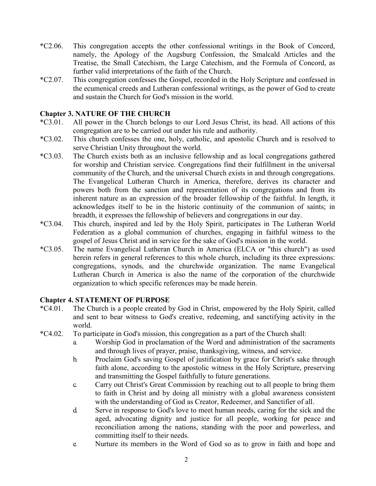- \*C2.06. This congregation accepts the other confessional writings in the Book of Concord, namely, the Apology of the Augsburg Confession, the Smalcald Articles and the Treatise, the Small Catechism, the Large Catechism, and the Formula of Concord, as further valid interpretations of the faith of the Church.
- \*C2.07. This congregation confesses the Gospel, recorded in the Holy Scripture and confessed in the ecumenical creeds and Lutheran confessional writings, as the power of God to create and sustain the Church for God's mission in the world.

### **Chapter 3. NATURE OF THE CHURCH**

- \*C3.01. All power in the Church belongs to our Lord Jesus Christ, its head. All actions of this congregation are to be carried out under his rule and authority.
- \*C3.02. This church confesses the one, holy, catholic, and apostolic Church and is resolved to serve Christian Unity throughout the world.
- \*C3.03. The Church exists both as an inclusive fellowship and as local congregations gathered for worship and Christian service. Congregations find their fulfillment in the universal community of the Church, and the universal Church exists in and through congregations. The Evangelical Lutheran Church in America, therefore, derives its character and powers both from the sanction and representation of its congregations and from its inherent nature as an expression of the broader fellowship of the faithful. In length, it acknowledges itself to be in the historic continuity of the communion of saints; in breadth, it expresses the fellowship of believers and congregations in our day.
- \*C3.04. This church, inspired and led by the Holy Spirit, participates in The Lutheran World Federation as a global communion of churches, engaging in faithful witness to the gospel of Jesus Christ and in service for the sake of God's mission in the world.
- \*C3.05. The name Evangelical Lutheran Church in America (ELCA or "this church") as used herein refers in general references to this whole church, including its three expressions: congregations, synods, and the churchwide organization. The name Evangelical Lutheran Church in America is also the name of the corporation of the churchwide organization to which specific references may be made herein.

#### **Chapter 4. STATEMENT OF PURPOSE**

- \*C4.01. The Church is a people created by God in Christ, empowered by the Holy Spirit, called and sent to bear witness to God's creative, redeeming, and sanctifying activity in the world.
- \*C4.02. To participate in God's mission, this congregation as a part of the Church shall:
	- a. Worship God in proclamation of the Word and administration of the sacraments and through lives of prayer, praise, thanksgiving, witness, and service.
	- b. Proclaim God's saving Gospel of justification by grace for Christ's sake through faith alone, according to the apostolic witness in the Holy Scripture, preserving and transmitting the Gospel faithfully to future generations.
	- c. Carry out Christ's Great Commission by reaching out to all people to bring them to faith in Christ and by doing all ministry with a global awareness consistent with the understanding of God as Creator, Redeemer, and Sanctifier of all.
	- d. Serve in response to God's love to meet human needs, caring for the sick and the aged, advocating dignity and justice for all people, working for peace and reconciliation among the nations, standing with the poor and powerless, and committing itself to their needs.
	- e. Nurture its members in the Word of God so as to grow in faith and hope and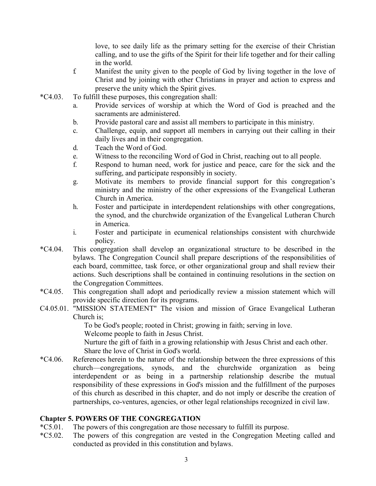love, to see daily life as the primary setting for the exercise of their Christian calling, and to use the gifts of the Spirit for their life together and for their calling in the world.

- f. Manifest the unity given to the people of God by living together in the love of Christ and by joining with other Christians in prayer and action to express and preserve the unity which the Spirit gives.
- \*C4.03. To fulfill these purposes, this congregation shall:
	- a. Provide services of worship at which the Word of God is preached and the sacraments are administered.
	- b. Provide pastoral care and assist all members to participate in this ministry.
	- c. Challenge, equip, and support all members in carrying out their calling in their daily lives and in their congregation.
	- d. Teach the Word of God.
	- e. Witness to the reconciling Word of God in Christ, reaching out to all people.
	- f. Respond to human need, work for justice and peace, care for the sick and the suffering, and participate responsibly in society.
	- g. Motivate its members to provide financial support for this congregation's ministry and the ministry of the other expressions of the Evangelical Lutheran Church in America.
	- h. Foster and participate in interdependent relationships with other congregations, the synod, and the churchwide organization of the Evangelical Lutheran Church in America.
	- i. Foster and participate in ecumenical relationships consistent with churchwide policy.
- \*C4.04. This congregation shall develop an organizational structure to be described in the bylaws. The Congregation Council shall prepare descriptions of the responsibilities of each board, committee, task force, or other organizational group and shall review their actions. Such descriptions shall be contained in continuing resolutions in the section on the Congregation Committees.
- \*C4.05. This congregation shall adopt and periodically review a mission statement which will provide specific direction for its programs.
- C4.05.01. "MISSION STATEMENT" The vision and mission of Grace Evangelical Lutheran Church is;

To be God's people; rooted in Christ; growing in faith; serving in love.

Welcome people to faith in Jesus Christ.

Nurture the gift of faith in a growing relationship with Jesus Christ and each other. Share the love of Christ in God's world.

\*C4.06. References herein to the nature of the relationship between the three expressions of this church—congregations, synods, and the churchwide organization as being interdependent or as being in a partnership relationship describe the mutual responsibility of these expressions in God's mission and the fulfillment of the purposes of this church as described in this chapter, and do not imply or describe the creation of partnerships, co-ventures, agencies, or other legal relationships recognized in civil law.

# **Chapter 5. POWERS OF THE CONGREGATION**

- \*C5.01. The powers of this congregation are those necessary to fulfill its purpose.
- \*C5.02. The powers of this congregation are vested in the Congregation Meeting called and conducted as provided in this constitution and bylaws.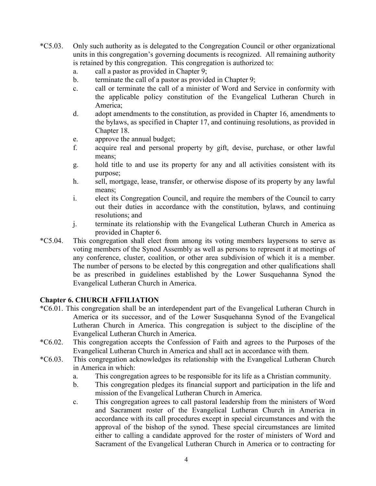- \*C5.03. Only such authority as is delegated to the Congregation Council or other organizational units in this congregation's governing documents is recognized. All remaining authority is retained by this congregation. This congregation is authorized to:
	- a. call a pastor as provided in Chapter 9;
	- b. terminate the call of a pastor as provided in Chapter 9;
	- c. call or terminate the call of a minister of Word and Service in conformity with the applicable policy constitution of the Evangelical Lutheran Church in America;
	- d. adopt amendments to the constitution, as provided in Chapter 16, amendments to the bylaws, as specified in Chapter 17, and continuing resolutions, as provided in Chapter 18.
	- e. approve the annual budget;
	- f. acquire real and personal property by gift, devise, purchase, or other lawful means:
	- g. hold title to and use its property for any and all activities consistent with its purpose;
	- h. sell, mortgage, lease, transfer, or otherwise dispose of its property by any lawful means:
	- i. elect its Congregation Council, and require the members of the Council to carry out their duties in accordance with the constitution, bylaws, and continuing resolutions; and
	- j. terminate its relationship with the Evangelical Lutheran Church in America as provided in Chapter 6.
- \*C5.04. This congregation shall elect from among its voting members laypersons to serve as voting members of the Synod Assembly as well as persons to represent it at meetings of any conference, cluster, coalition, or other area subdivision of which it is a member. The number of persons to be elected by this congregation and other qualifications shall be as prescribed in guidelines established by the Lower Susquehanna Synod the Evangelical Lutheran Church in America.

# **Chapter 6. CHURCH AFFILIATION**

- \*C6.01. This congregation shall be an interdependent part of the Evangelical Lutheran Church in America or its successor, and of the Lower Susquehanna Synod of the Evangelical Lutheran Church in America. This congregation is subject to the discipline of the Evangelical Lutheran Church in America.
- \*C6.02. This congregation accepts the Confession of Faith and agrees to the Purposes of the Evangelical Lutheran Church in America and shall act in accordance with them.
- \*C6.03. This congregation acknowledges its relationship with the Evangelical Lutheran Church in America in which:
	- a. This congregation agrees to be responsible for its life as a Christian community.
	- b. This congregation pledges its financial support and participation in the life and mission of the Evangelical Lutheran Church in America.
	- c. This congregation agrees to call pastoral leadership from the ministers of Word and Sacrament roster of the Evangelical Lutheran Church in America in accordance with its call procedures except in special circumstances and with the approval of the bishop of the synod. These special circumstances are limited either to calling a candidate approved for the roster of ministers of Word and Sacrament of the Evangelical Lutheran Church in America or to contracting for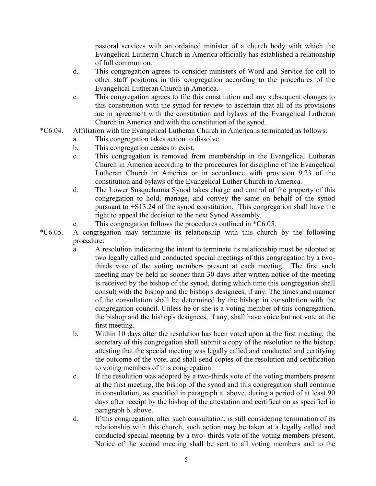pastoral services with an ordained minister of a church body with which the Evangelical Lutheran Church in America officially has established a relationship of full communion.

- d. This congregation agrees to consider ministers of Word and Service for call to other staff positions in this congregation according to the procedures of the Evangelical Lutheran Church in America.
- e. This congregation agrees to file this constitution and any subsequent changes to this constitution with the synod for review to ascertain that all of its provisions are in agreement with the constitution and bylaws of the Evangelical Lutheran Church in America and with the constitution of the synod.
- \*C6.04. Affiliation with the Evangelical Lutheran Church in America is terminated as follows:
	- a. This congregation takes action to dissolve.
	- b. This congregation ceases to exist.
	- c. This congregation is removed from membership in the Evangelical Lutheran Church in America according to the procedures for discipline of the Evangelical Lutheran Church in America or in accordance with provision 9.23 of the constitution and bylaws of the Evangelical Luther Church in America.
	- d. The Lower Susquehanna Synod takes charge and control of the property of this congregation to hold, manage, and convey the same on behalf of the synod pursuant to +S13.24 of the synod constitution. This congregation shall have the right to appeal the decision to the next Synod Assembly.
	- e. This congregation follows the procedures outlined in \*C6.05.
- \*C6.05. A congregation may terminate its relationship with this church by the following procedure:
	- a. A resolution indicating the intent to terminate its relationship must be adopted at two legally called and conducted special meetings of this congregation by a twothirds vote of the voting members present at each meeting. The first such meeting may be held no sooner than 30 days after written notice of the meeting is received by the bishop of the synod, during which time this congregation shall consult with the bishop and the bishop's designees, if any. The times and manner of the consultation shall be determined by the bishop in consultation with the congregation council. Unless he or she is a voting member of this congregation, the bishop and the bishop's designees, if any, shall have voice but not vote at the first meeting.
	- b. Within 10 days after the resolution has been voted upon at the first meeting, the secretary of this congregation shall submit a copy of the resolution to the bishop, attesting that the special meeting was legally called and conducted and certifying the outcome of the vote, and shall send copies of the resolution and certification to voting members of this congregation.
	- c. If the resolution was adopted by a two-thirds vote of the voting members present at the first meeting, the bishop of the synod and this congregation shall continue in consultation, as specified in paragraph a. above, during a period of at least 90 days after receipt by the bishop of the attestation and certification as specified in paragraph b. above.
	- d. If this congregation, after such consultation, is still considering termination of its relationship with this church, such action may be taken at a legally called and conducted special meeting by a two- thirds vote of the voting members present. Notice of the second meeting shall be sent to all voting members and to the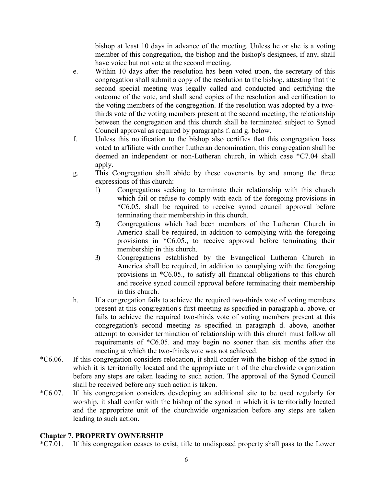bishop at least 10 days in advance of the meeting. Unless he or she is a voting member of this congregation, the bishop and the bishop's designees, if any, shall have voice but not vote at the second meeting.

- e. Within 10 days after the resolution has been voted upon, the secretary of this congregation shall submit a copy of the resolution to the bishop, attesting that the second special meeting was legally called and conducted and certifying the outcome of the vote, and shall send copies of the resolution and certification to the voting members of the congregation. If the resolution was adopted by a twothirds vote of the voting members present at the second meeting, the relationship between the congregation and this church shall be terminated subject to Synod Council approval as required by paragraphs f. and g. below.
- f. Unless this notification to the bishop also certifies that this congregation hass voted to affiliate with another Lutheran denomination, this congregation shall be deemed an independent or non-Lutheran church, in which case \*C7.04 shall apply.
- g. This Congregation shall abide by these covenants by and among the three expressions of this church:
	- 1) Congregations seeking to terminate their relationship with this church which fail or refuse to comply with each of the foregoing provisions in \*C6.05. shall be required to receive synod council approval before terminating their membership in this church.
	- 2) Congregations which had been members of the Lutheran Church in America shall be required, in addition to complying with the foregoing provisions in \*C6.05., to receive approval before terminating their membership in this church.
	- 3) Congregations established by the Evangelical Lutheran Church in America shall be required, in addition to complying with the foregoing provisions in \*C6.05., to satisfy all financial obligations to this church and receive synod council approval before terminating their membership in this church.
- h. If a congregation fails to achieve the required two-thirds vote of voting members present at this congregation's first meeting as specified in paragraph a. above, or fails to achieve the required two-thirds vote of voting members present at this congregation's second meeting as specified in paragraph d. above, another attempt to consider termination of relationship with this church must follow all requirements of \*C6.05. and may begin no sooner than six months after the meeting at which the two-thirds vote was not achieved.
- \*C6.06. If this congregation considers relocation, it shall confer with the bishop of the synod in which it is territorially located and the appropriate unit of the churchwide organization before any steps are taken leading to such action. The approval of the Synod Council shall be received before any such action is taken.
- \*C6.07. If this congregation considers developing an additional site to be used regularly for worship, it shall confer with the bishop of the synod in which it is territorially located and the appropriate unit of the churchwide organization before any steps are taken leading to such action.

# **Chapter 7. PROPERTY OWNERSHIP**

\*C7.01. If this congregation ceases to exist, title to undisposed property shall pass to the Lower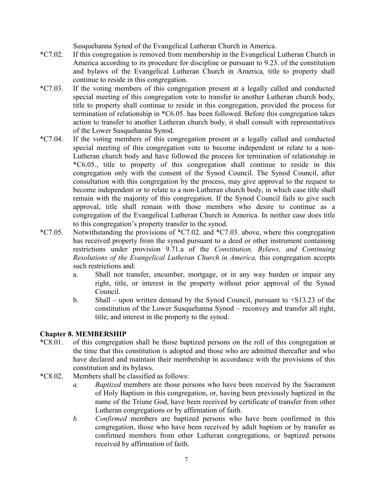Susquehanna Synod of the Evangelical Lutheran Church in America.

- \*C7.02. If this congregation is removed from membership in the Evangelical Lutheran Church in America according to its procedure for discipline or pursuant to 9.23. of the constitution and bylaws of the Evangelical Lutheran Church in America, title to property shall continue to reside in this congregation.
- \*C7.03. If the voting members of this congregation present at a legally called and conducted special meeting of this congregation vote to transfer to another Lutheran church body, title to property shall continue to reside in this congregation, provided the process for termination of relationship in \*C6.05. has been followed. Before this congregation takes action to transfer to another Lutheran church body, it shall consult with representatives of the Lower Susquehanna Synod.
- \*C7.04. If the voting members of this congregation present at a legally called and conducted special meeting of this congregation vote to become independent or relate to a non-Lutheran church body and have followed the process for termination of relationship in \*C6.05., title to property of this congregation shall continue to reside in this congregation only with the consent of the Synod Council. The Synod Council, after consultation with this congregation by the process, may give approval to the request to become independent or to relate to a non-Lutheran church body, in which case title shall remain with the majority of this congregation. If the Synod Council fails to give such approval, title shall remain with those members who desire to continue as a congregation of the Evangelical Lutheran Church in America. In neither case does title to this congregation's property transfer to the synod.
- \*C7.05. Notwithstanding the provisions of \*C7.02. and \*C7.03. above, where this congregation has received property from the synod pursuant to a deed or other instrument containing restrictions under provision 9.71.a of the *Constitution, Bylaws, and Continuing Resolutions of the Evangelical Lutheran Church in America,* this congregation accepts such restrictions and:
	- a. Shall not transfer, encumber, mortgage, or in any way burden or impair any right, title, or interest in the property without prior approval of the Synod Council.
	- b. Shall upon written demand by the Synod Council, pursuant to +S13.23 of the constitution of the Lower Susquehanna Synod – reconvey and transfer all right, title, and interest in the property to the synod.

# **Chapter 8. MEMBERSHIP**

- \*C8.01. of this congregation shall be those baptized persons on the roll of this congregation at the time that this constitution is adopted and those who are admitted thereafter and who have declared and maintain their membership in accordance with the provisions of this constitution and its bylaws.
- \*C8.02. Members shall be classified as follows:
	- *a. Baptized* members are those persons who have been received by the Sacrament of Holy Baptism in this congregation, or, having been previously baptized in the name of the Triune God, have been received by certificate of transfer from other Lutheran congregations or by affirmation of faith.
	- *b. Confirmed* members are baptized persons who have been confirmed in this congregation, those who have been received by adult baptism or by transfer as confirmed members from other Lutheran congregations, or baptized persons received by affirmation of faith.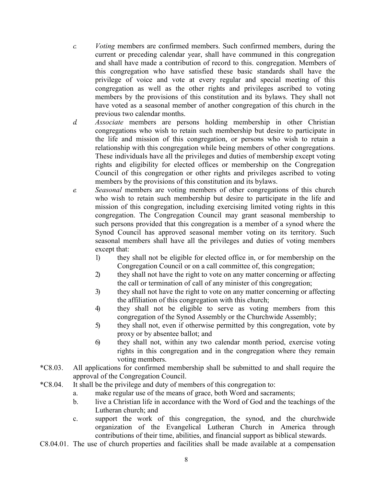- *c. Voting* members are confirmed members. Such confirmed members, during the current or preceding calendar year, shall have communed in this congregation and shall have made a contribution of record to this. congregation. Members of this congregation who have satisfied these basic standards shall have the privilege of voice and vote at every regular and special meeting of this congregation as well as the other rights and privileges ascribed to voting members by the provisions of this constitution and its bylaws. They shall not have voted as a seasonal member of another congregation of this church in the previous two calendar months.
- *d. Associate* members are persons holding membership in other Christian congregations who wish to retain such membership but desire to participate in the life and mission of this congregation, or persons who wish to retain a relationship with this congregation while being members of other congregations. These individuals have all the privileges and duties of membership except voting rights and eligibility for elected offices or membership on the Congregation Council of this congregation or other rights and privileges ascribed to voting members by the provisions of this constitution and its bylaws.
- *e. Seasonal* members are voting members of other congregations of this church who wish to retain such membership but desire to participate in the life and mission of this congregation, including exercising limited voting rights in this congregation. The Congregation Council may grant seasonal membership to such persons provided that this congregation is a member of a synod where the Synod Council has approved seasonal member voting on its territory. Such seasonal members shall have all the privileges and duties of voting members except that:
	- 1) they shall not be eligible for elected office in, or for membership on the Congregation Council or on a call committee of, this congregation;
	- 2) they shall not have the right to vote on any matter concerning or affecting the call or termination of call of any minister of this congregation;
	- 3) they shall not have the right to vote on any matter concerning or affecting the affiliation of this congregation with this church;
	- 4) they shall not be eligible to serve as voting members from this congregation of the Synod Assembly or the Churchwide Assembly;
	- 5) they shall not, even if otherwise permitted by this congregation, vote by proxy or by absentee ballot; and
	- 6) they shall not, within any two calendar month period, exercise voting rights in this congregation and in the congregation where they remain voting members.
- \*C8.03. All applications for confirmed membership shall be submitted to and shall require the approval of the Congregation Council.
- \*C8.04. It shall be the privilege and duty of members of this congregation to:
	- a. make regular use of the means of grace, both Word and sacraments;
	- b. live a Christian life in accordance with the Word of God and the teachings of the Lutheran church; and
	- c. support the work of this congregation, the synod, and the churchwide organization of the Evangelical Lutheran Church in America through contributions of their time, abilities, and financial support as biblical stewards.
- C8.04.01. The use of church properties and facilities shall be made available at a compensation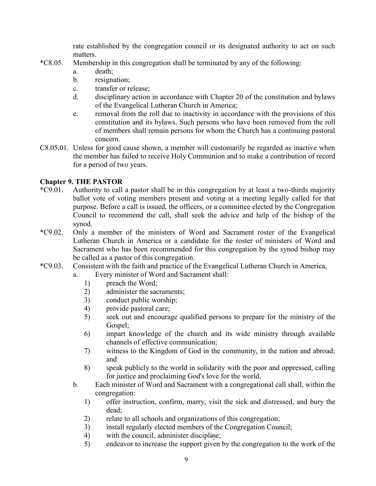rate established by the congregation council or its designated authority to act on such matters.

- \*C8.05. Membership in this congregation shall be terminated by any of the following:
	- a. death;
	- b. resignation;
	- c. transfer or release;
	- d. disciplinary action in accordance with Chapter 20 of the constitution and bylaws of the Evangelical Lutheran Church in America;
	- e. removal from the roll due to inactivity in accordance with the provisions of this constitution and its bylaws. Such persons who have been removed from the roll of members shall remain persons for whom the Church has a continuing pastoral concern.
- C8.05.01. Unless for good cause shown, a member will customarily be regarded as inactive when the member has failed to receive Holy Communion and to make a contribution of record for a period of two years.

# **Chapter 9. THE PASTOR**

- \*C9.01. Authority to call a pastor shall be in this congregation by at least a two-thirds majority ballot vote of voting members present and voting at a meeting legally called for that purpose. Before a call is issued, the officers, or a committee elected by the Congregation Council to recommend the call, shall seek the advice and help of the bishop of the synod.
- \*C9.02. Only a member of the ministers of Word and Sacrament roster of the Evangelical Lutheran Church in America or a candidate for the roster of ministers of Word and Sacrament who has been recommended for this congregation by the synod bishop may be called as a pastor of this congregation.
- \*C9.03. Consistent with the faith and practice of the Evangelical Lutheran Church in America,
	- a. Every minister of Word and Sacrament shall:
		- 1) preach the Word;
		- 2) administer the sacraments;
		- 3) conduct public worship;
		- 4) provide pastoral care;
		- 5) seek out and encourage qualified persons to prepare for the ministry of the Gospel;
		- 6) impart knowledge of the church and its wide ministry through available channels of effective communication;
		- 7) witness to the Kingdom of God in the community, in the nation and abroad; and
		- 8) speak publicly to the world in solidarity with the poor and oppressed, calling for justice and proclaiming God's love for the world.
	- b. Each minister of Word and Sacrament with a congregational call shall, within the congregation:
		- 1) offer instruction, confirm, marry, visit the sick and distressed, and bury the dead;
		- 2) relate to all schools and organizations of this congregation;
		- 3) install regularly elected members of the Congregation Council;
		- 4) with the council, administer discipline;
		- 5) endeavor to increase the support given by the congregation to the work of the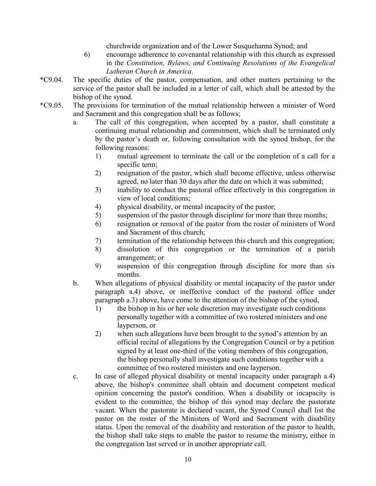churchwide organization and of the Lower Susquehanna Synod; and

- 6) encourage adherence to covenantal relationship with this church as expressed in the *Constitution, Bylaws, and Continuing Resolutions of the Evangelical Lutheran Church in America*.
- \*C9.04. The specific duties of the pastor, compensation, and other matters pertaining to the service of the pastor shall be included in a letter of call, which shall be attested by the bishop of the synod.
- \*C9.05. The provisions for termination of the mutual relationship between a minister of Word and Sacrament and this congregation shall be as follows;
	- a. The call of this congregation, when accepted by a pastor, shall constitute a continuing mutual relationship and commitment, which shall be terminated only by the pastor's death or, following consultation with the synod bishop, for the following reasons:
		- 1) mutual agreement to terminate the call or the completion of a call for a specific term;
		- 2) resignation of the pastor, which shall become effective, unless otherwise agreed, no later than 30 days after the date on which it was submitted;
		- 3) inability to conduct the pastoral office effectively in this congregation in view of local conditions;
		- 4) physical disability, or mental incapacity of the pastor;
		- 5) suspension of the pastor through discipline for more than three months;
		- 6) resignation or removal of the pastor from the roster of ministers of Word and Sacrament of this church;
		- 7) termination of the relationship between this church and this congregation;
		- 8) dissolution of this congregation or the termination of a parish arrangement; or
		- 9) suspension of this congregation through discipline for more than six months.
	- b. When allegations of physical disability or mental incapacity of the pastor under paragraph a.4) above, or ineffective conduct of the pastoral office under paragraph a.3) above, have come to the attention of the bishop of the synod,
		- 1) the bishop in his or her sole discretion may investigate such conditions personally together with a committee of two rostered ministers and one layperson, or
		- 2) when such allegations have been brought to the synod's attention by an official recital of allegations by the Congregation Council or by a petition signed by at least one-third of the voting members of this congregation, the bishop personally shall investigate such conditions together with a committee of two rostered ministers and one layperson.
	- c. In case of alleged physical disability or mental incapacity under paragraph a.4) above, the bishop's committee shall obtain and document competent medical opinion concerning the pastor's condition. When a disability or incapacity is evident to the committee, the bishop of this synod may declare the pastorate vacant. When the pastorate is declared vacant, the Synod Council shall list the pastor on the roster of the Ministers of Word and Sacrament with disability status. Upon the removal of the disability and restoration of the pastor to health, the bishop shall take steps to enable the pastor to resume the ministry, either in the congregation last served or in another appropriate call.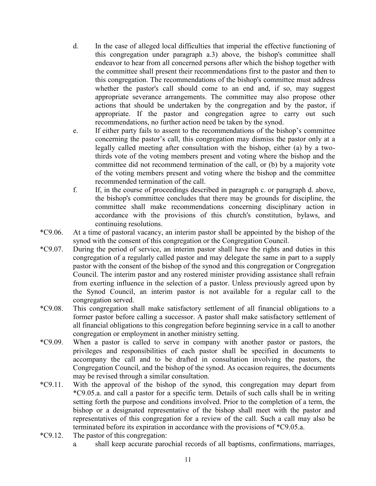- d. In the case of alleged local difficulties that imperial the effective functioning of this congregation under paragraph a.3) above, the bishop's committee shall endeavor to hear from all concerned persons after which the bishop together with the committee shall present their recommendations first to the pastor and then to this congregation. The recommendations of the bishop's committee must address whether the pastor's call should come to an end and, if so, may suggest appropriate severance arrangements. The committee may also propose other actions that should be undertaken by the congregation and by the pastor, if appropriate. If the pastor and congregation agree to carry out such recommendations, no further action need be taken by the synod.
- e. If either party fails to assent to the recommendations of the bishop's committee concerning the pastor's call, this congregation may dismiss the pastor only at a legally called meeting after consultation with the bishop, either (a) by a twothirds vote of the voting members present and voting where the bishop and the committee did not recommend termination of the call, or (b) by a majority vote of the voting members present and voting where the bishop and the committee recommended termination of the call.
- f. If, in the course of proceedings described in paragraph c. or paragraph d. above, the bishop's committee concludes that there may be grounds for discipline, the committee shall make recommendations concerning disciplinary action in accordance with the provisions of this church's constitution, bylaws, and continuing resolutions.
- \*C9.06. At a time of pastoral vacancy, an interim pastor shall be appointed by the bishop of the synod with the consent of this congregation or the Congregation Council.
- \*C9.07. During the period of service, an interim pastor shall have the rights and duties in this congregation of a regularly called pastor and may delegate the same in part to a supply pastor with the consent of the bishop of the synod and this congregation or Congregation Council. The interim pastor and any rostered minister providing assistance shall refrain from exerting influence in the selection of a pastor. Unless previously agreed upon by the Synod Council, an interim pastor is not available for a regular call to the congregation served.
- \*C9.08. This congregation shall make satisfactory settlement of all financial obligations to a former pastor before calling a successor. A pastor shall make satisfactory settlement of all financial obligations to this congregation before beginning service in a call to another congregation or employment in another ministry setting.
- \*C9.09. When a pastor is called to serve in company with another pastor or pastors, the privileges and responsibilities of each pastor shall be specified in documents to accompany the call and to be drafted in consultation involving the pastors, the Congregation Council, and the bishop of the synod. As occasion requires, the documents may be revised through a similar consultation.
- \*C9.11. With the approval of the bishop of the synod, this congregation may depart from \*C9.05.a. and call a pastor for a specific term. Details of such calls shall be in writing setting forth the purpose and conditions involved. Prior to the completion of a term, the bishop or a designated representative of the bishop shall meet with the pastor and representatives of this congregation for a review of the call. Such a call may also be terminated before its expiration in accordance with the provisions of \*C9.05.a.
- \*C9.12. The pastor of this congregation:
	- a. shall keep accurate parochial records of all baptisms, confirmations, marriages,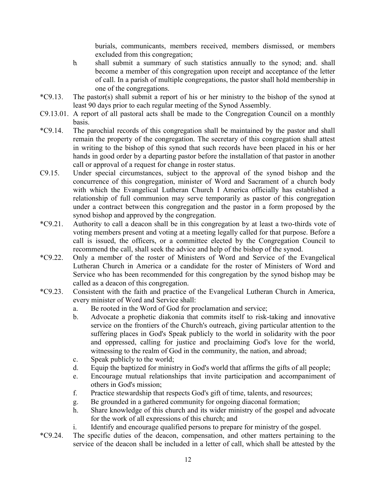burials, communicants, members received, members dismissed, or members excluded from this congregation;

- b. shall submit a summary of such statistics annually to the synod; and. shall become a member of this congregation upon receipt and acceptance of the letter of call. In a parish of multiple congregations, the pastor shall hold membership in one of the congregations.
- \*C9.13. The pastor(s) shall submit a report of his or her ministry to the bishop of the synod at least 90 days prior to each regular meeting of the Synod Assembly.
- C9.13.01. A report of all pastoral acts shall be made to the Congregation Council on a monthly basis.
- \*C9.14. The parochial records of this congregation shall be maintained by the pastor and shall remain the property of the congregation. The secretary of this congregation shall attest in writing to the bishop of this synod that such records have been placed in his or her hands in good order by a departing pastor before the installation of that pastor in another call or approval of a request for change in roster status.
- C9.15. Under special circumstances, subject to the approval of the synod bishop and the concurrence of this congregation, minister of Word and Sacrament of a church body with which the Evangelical Lutheran Church I America officially has established a relationship of full communion may serve temporarily as pastor of this congregation under a contract between this congregation and the pastor in a form proposed by the synod bishop and approved by the congregation.
- \*C9.21. Authority to call a deacon shall be in this congregation by at least a two-thirds vote of voting members present and voting at a meeting legally called for that purpose. Before a call is issued, the officers, or a committee elected by the Congregation Council to recommend the call, shall seek the advice and help of the bishop of the synod.
- \*C9.22. Only a member of the roster of Ministers of Word and Service of the Evangelical Lutheran Church in America or a candidate for the roster of Ministers of Word and Service who has been recommended for this congregation by the synod bishop may be called as a deacon of this congregation.
- \*C9.23. Consistent with the faith and practice of the Evangelical Lutheran Church in America, every minister of Word and Service shall:
	- a. Be rooted in the Word of God for proclamation and service;
	- b. Advocate a prophetic diakonia that commits itself to risk-taking and innovative service on the frontiers of the Church's outreach, giving particular attention to the suffering places in God's Speak publicly to the world in solidarity with the poor and oppressed, calling for justice and proclaiming God's love for the world, witnessing to the realm of God in the community, the nation, and abroad;
	- c. Speak publicly to the world;
	- d. Equip the baptized for ministry in God's world that affirms the gifts of all people;
	- e. Encourage mutual relationships that invite participation and accompaniment of others in God's mission;
	- f. Practice stewardship that respects God's gift of time, talents, and resources;
	- g. Be grounded in a gathered community for ongoing diaconal formation;
	- h. Share knowledge of this church and its wider ministry of the gospel and advocate for the work of all expressions of this church; and
	- i. Identify and encourage qualified persons to prepare for ministry of the gospel.
- \*C9.24. The specific duties of the deacon, compensation, and other matters pertaining to the service of the deacon shall be included in a letter of call, which shall be attested by the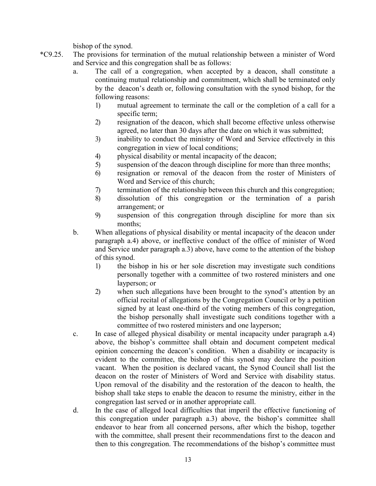bishop of the synod.

- \*C9.25. The provisions for termination of the mutual relationship between a minister of Word and Service and this congregation shall be as follows:
	- a. The call of a congregation, when accepted by a deacon, shall constitute a continuing mutual relationship and commitment, which shall be terminated only by the deacon's death or, following consultation with the synod bishop, for the following reasons:
		- 1) mutual agreement to terminate the call or the completion of a call for a specific term;
		- 2) resignation of the deacon, which shall become effective unless otherwise agreed, no later than 30 days after the date on which it was submitted;
		- 3) inability to conduct the ministry of Word and Service effectively in this congregation in view of local conditions;
		- 4) physical disability or mental incapacity of the deacon;
		- 5) suspension of the deacon through discipline for more than three months;
		- 6) resignation or removal of the deacon from the roster of Ministers of Word and Service of this church;
		- 7) termination of the relationship between this church and this congregation;
		- 8) dissolution of this congregation or the termination of a parish arrangement; or
		- 9) suspension of this congregation through discipline for more than six months;
	- b. When allegations of physical disability or mental incapacity of the deacon under paragraph a.4) above, or ineffective conduct of the office of minister of Word and Service under paragraph a.3) above, have come to the attention of the bishop of this synod.
		- 1) the bishop in his or her sole discretion may investigate such conditions personally together with a committee of two rostered ministers and one layperson; or
		- 2) when such allegations have been brought to the synod's attention by an official recital of allegations by the Congregation Council or by a petition signed by at least one-third of the voting members of this congregation, the bishop personally shall investigate such conditions together with a committee of two rostered ministers and one layperson;
	- c. In case of alleged physical disability or mental incapacity under paragraph a.4) above, the bishop's committee shall obtain and document competent medical opinion concerning the deacon's condition. When a disability or incapacity is evident to the committee, the bishop of this synod may declare the position vacant. When the position is declared vacant, the Synod Council shall list the deacon on the roster of Ministers of Word and Service with disability status. Upon removal of the disability and the restoration of the deacon to health, the bishop shall take steps to enable the deacon to resume the ministry, either in the congregation last served or in another appropriate call.
	- d. In the case of alleged local difficulties that imperil the effective functioning of this congregation under paragraph a.3) above, the bishop's committee shall endeavor to hear from all concerned persons, after which the bishop, together with the committee, shall present their recommendations first to the deacon and then to this congregation. The recommendations of the bishop's committee must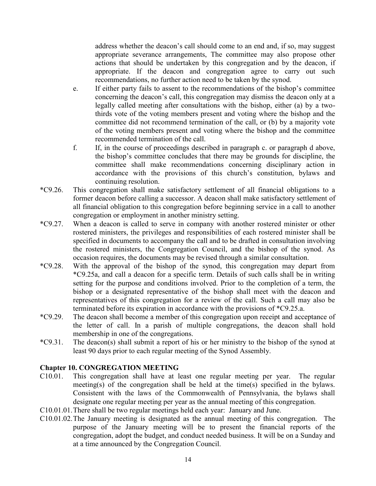address whether the deacon's call should come to an end and, if so, may suggest appropriate severance arrangements, The committee may also propose other actions that should be undertaken by this congregation and by the deacon, if appropriate. If the deacon and congregation agree to carry out such recommendations, no further action need to be taken by the synod.

- e. If either party fails to assent to the recommendations of the bishop's committee concerning the deacon's call, this congregation may dismiss the deacon only at a legally called meeting after consultations with the bishop, either (a) by a twothirds vote of the voting members present and voting where the bishop and the committee did not recommend termination of the call, or (b) by a majority vote of the voting members present and voting where the bishop and the committee recommended termination of the call.
- f. If, in the course of proceedings described in paragraph c. or paragraph d above, the bishop's committee concludes that there may be grounds for discipline, the committee shall make recommendations concerning disciplinary action in accordance with the provisions of this church's constitution, bylaws and continuing resolution.
- \*C9.26. This congregation shall make satisfactory settlement of all financial obligations to a former deacon before calling a successor. A deacon shall make satisfactory settlement of all financial obligation to this congregation before beginning service in a call to another congregation or employment in another ministry setting.
- \*C9.27. When a deacon is called to serve in company with another rostered minister or other rostered ministers, the privileges and responsibilities of each rostered minister shall be specified in documents to accompany the call and to be drafted in consultation involving the rostered ministers, the Congregation Council, and the bishop of the synod. As occasion requires, the documents may be revised through a similar consultation.
- \*C9.28. With the approval of the bishop of the synod, this congregation may depart from \*C9.25a, and call a deacon for a specific term. Details of such calls shall be in writing setting for the purpose and conditions involved. Prior to the completion of a term, the bishop or a designated representative of the bishop shall meet with the deacon and representatives of this congregation for a review of the call. Such a call may also be terminated before its expiration in accordance with the provisions of \*C9.25.a.
- \*C9.29. The deacon shall become a member of this congregation upon receipt and acceptance of the letter of call. In a parish of multiple congregations, the deacon shall hold membership in one of the congregations.
- \*C9.31. The deacon(s) shall submit a report of his or her ministry to the bishop of the synod at least 90 days prior to each regular meeting of the Synod Assembly.

# **Chapter 10. CONGREGATION MEETING**

- C10.01. This congregation shall have at least one regular meeting per year. The regular meeting(s) of the congregation shall be held at the time(s) specified in the bylaws. Consistent with the laws of the Commonwealth of Pennsylvania, the bylaws shall designate one regular meeting per year as the annual meeting of this congregation.
- C10.01.01.There shall be two regular meetings held each year: January and June.
- C10.01.02.The January meeting is designated as the annual meeting of this congregation. The purpose of the January meeting will be to present the financial reports of the congregation, adopt the budget, and conduct needed business. It will be on a Sunday and at a time announced by the Congregation Council.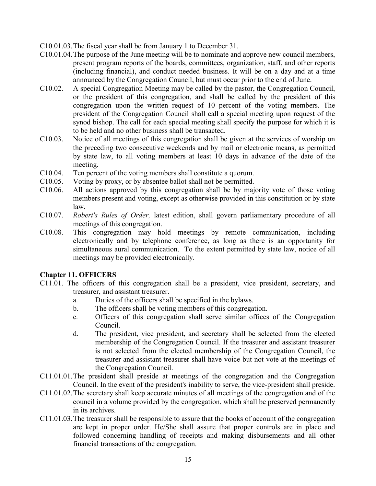- C10.01.03.The fiscal year shall be from January 1 to December 31.
- C10.01.04.The purpose of the June meeting will be to nominate and approve new council members, present program reports of the boards, committees, organization, staff, and other reports (including financial), and conduct needed business. It will be on a day and at a time announced by the Congregation Council, but must occur prior to the end of June.
- C10.02. A special Congregation Meeting may be called by the pastor, the Congregation Council, or the president of this congregation, and shall be called by the president of this congregation upon the written request of 10 percent of the voting members. The president of the Congregation Council shall call a special meeting upon request of the synod bishop. The call for each special meeting shall specify the purpose for which it is to be held and no other business shall be transacted.
- C10.03. Notice of all meetings of this congregation shall be given at the services of worship on the preceding two consecutive weekends and by mail or electronic means, as permitted by state law, to all voting members at least 10 days in advance of the date of the meeting.
- C10.04. Ten percent of the voting members shall constitute a quorum.
- C10.05. Voting by proxy, or by absentee ballot shall not be permitted.
- C10.06. All actions approved by this congregation shall be by majority vote of those voting members present and voting, except as otherwise provided in this constitution or by state law.
- C10.07. *Robert's Rules of Order,* latest edition, shall govern parliamentary procedure of all meetings of this congregation.
- C10.08. This congregation may hold meetings by remote communication, including electronically and by telephone conference, as long as there is an opportunity for simultaneous aural communication. To the extent permitted by state law, notice of all meetings may be provided electronically.

#### **Chapter 11. OFFICERS**

- C11.01. The officers of this congregation shall be a president, vice president, secretary, and treasurer, and assistant treasurer.
	- a. Duties of the officers shall be specified in the bylaws.
	- b. The officers shall be voting members of this congregation.
	- c. Officers of this congregation shall serve similar offices of the Congregation Council.
	- d. The president, vice president, and secretary shall be selected from the elected membership of the Congregation Council. If the treasurer and assistant treasurer is not selected from the elected membership of the Congregation Council, the treasurer and assistant treasurer shall have voice but not vote at the meetings of the Congregation Council.
- C11.01.01.The president shall preside at meetings of the congregation and the Congregation Council. In the event of the president's inability to serve, the vice-president shall preside.
- C11.01.02.The secretary shall keep accurate minutes of all meetings of the congregation and of the council in a volume provided by the congregation, which shall be preserved permanently in its archives.
- C11.01.03.The treasurer shall be responsible to assure that the books of account of the congregation are kept in proper order. He/She shall assure that proper controls are in place and followed concerning handling of receipts and making disbursements and all other financial transactions of the congregation.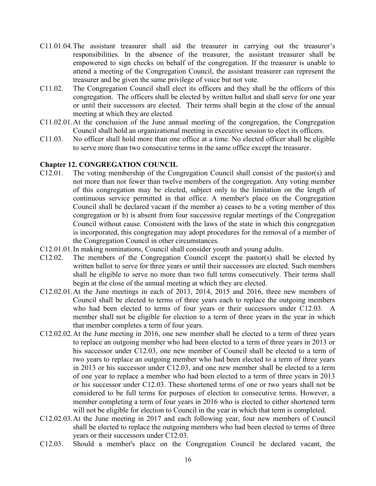- C11.01.04.The assistant treasurer shall aid the treasurer in carrying out the treasurer's responsibilities. In the absence of the treasurer, the assistant treasurer shall be empowered to sign checks on behalf of the congregation. If the treasurer is unable to attend a meeting of the Congregation Council, the assistant treasurer can represent the treasurer and be given the same privilege of voice but not vote.
- C11.02. The Congregation Council shall elect its officers and they shall be the officers of this congregation. The officers shall be elected by written ballot and shall serve for one year or until their successors are elected. Their terms shall begin at the close of the annual meeting at which they are elected.
- C11.02.01.At the conclusion of the June annual meeting of the congregation, the Congregation Council shall hold an organizational meeting in executive session to elect its officers.
- C11.03. No officer shall hold more than one office at a time. No elected officer shall be eligible to serve more than two consecutive terms in the same office except the treasurer.

#### **Chapter 12. CONGREGATION COUNCIL**

- C12.01. The voting membership of the Congregation Council shall consist of the pastor(s) and not more than nor fewer than twelve members of the congregation. Any voting member of this congregation may be elected, subject only to the limitation on the length of continuous service permitted in that office. A member's place on the Congregation Council shall be declared vacant if the member a) ceases to be a voting member of this congregation or b) is absent from four successive regular meetings of the Congregation Council without cause. Consistent with the laws of the state in which this congregation is incorporated, this congregation may adopt procedures for the removal of a member of the Congregation Council in other circumstances.
- C12.01.01.In making nominations, Council shall consider youth and young adults.
- C12.02. The members of the Congregation Council except the pastor(s) shall be elected by written ballot to serve for three years or until their successors are elected. Such members shall be eligible to serve no more than two full terms consecutively. Their terms shall begin at the close of the annual meeting at which they are elected.
- C12.02.01.At the June meetings in each of 2013, 2014, 2015 and 2016, three new members of Council shall be elected to terms of three years each to replace the outgoing members who had been elected to terms of four years or their successors under C12.03. A member shall not be eligible for election to a term of three years in the year in which that member completes a term of four years.
- C12.02.02.At the June meeting in 2016, one new member shall be elected to a term of three years to replace an outgoing member who had been elected to a term of three years in 2013 or his successor under C12.03, one new member of Council shall be elected to a term of two years to replace an outgoing member who had been elected to a term of three years in 2013 or his successor under C12.03, and one new member shall be elected to a term of one year to replace a member who had been elected to a term of three years in 2013 or his successor under C12.03. These shortened terms of one or two years shall not be considered to be full terms for purposes of election to consecutive terms. However, a member completing a term of four years in 2016 who is elected to either shortened term will not be eligible for election to Council in the year in which that term is completed.
- C12.02.03.At the June meeting in 2017 and each following year, four new members of Council shall be elected to replace the outgoing members who had been elected to terms of three years or their successors under C12.03.
- C12.03. Should a member's place on the Congregation Council be declared vacant, the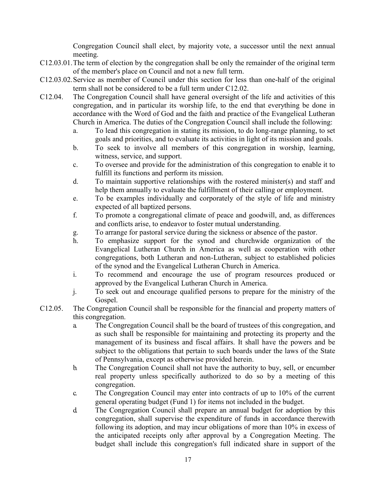Congregation Council shall elect, by majority vote, a successor until the next annual meeting.

- C12.03.01.The term of election by the congregation shall be only the remainder of the original term of the member's place on Council and not a new full term.
- C12.03.02.Service as member of Council under this section for less than one-half of the original term shall not be considered to be a full term under C12.02.
- C12.04. The Congregation Council shall have general oversight of the life and activities of this congregation, and in particular its worship life, to the end that everything be done in accordance with the Word of God and the faith and practice of the Evangelical Lutheran Church in America. The duties of the Congregation Council shall include the following:
	- a. To lead this congregation in stating its mission, to do long-range planning, to set goals and priorities, and to evaluate its activities in light of its mission and goals.
	- b. To seek to involve all members of this congregation in worship, learning, witness, service, and support.
	- c. To oversee and provide for the administration of this congregation to enable it to fulfill its functions and perform its mission.
	- d. To maintain supportive relationships with the rostered minister(s) and staff and help them annually to evaluate the fulfillment of their calling or employment.
	- e. To be examples individually and corporately of the style of life and ministry expected of all baptized persons.
	- f. To promote a congregational climate of peace and goodwill, and, as differences and conflicts arise, to endeavor to foster mutual understanding.
	- g. To arrange for pastoral service during the sickness or absence of the pastor.
	- h. To emphasize support for the synod and churchwide organization of the Evangelical Lutheran Church in America as well as cooperation with other congregations, both Lutheran and non-Lutheran, subject to established policies of the synod and the Evangelical Lutheran Church in America.
	- i. To recommend and encourage the use of program resources produced or approved by the Evangelical Lutheran Church in America.
	- j. To seek out and encourage qualified persons to prepare for the ministry of the Gospel.
- C12.05. The Congregation Council shall be responsible for the financial and property matters of this congregation.
	- a. The Congregation Council shall be the board of trustees of this congregation, and as such shall be responsible for maintaining and protecting its property and the management of its business and fiscal affairs. It shall have the powers and be subject to the obligations that pertain to such boards under the laws of the State of Pennsylvania, except as otherwise provided herein.
	- b. The Congregation Council shall not have the authority to buy, sell, or encumber real property unless specifically authorized to do so by a meeting of this congregation.
	- c. The Congregation Council may enter into contracts of up to 10% of the current general operating budget (Fund 1) for items not included in the budget.
	- d. The Congregation Council shall prepare an annual budget for adoption by this congregation, shall supervise the expenditure of funds in accordance therewith following its adoption, and may incur obligations of more than 10% in excess of the anticipated receipts only after approval by a Congregation Meeting. The budget shall include this congregation's full indicated share in support of the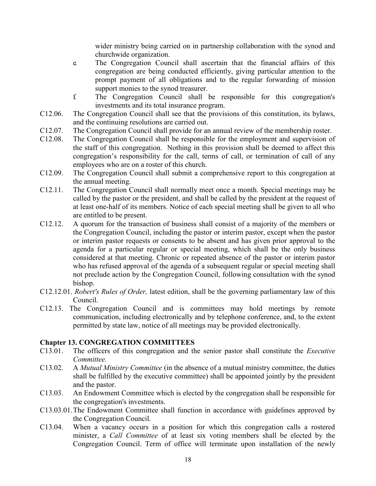wider ministry being carried on in partnership collaboration with the synod and churchwide organization.

- e. The Congregation Council shall ascertain that the financial affairs of this congregation are being conducted efficiently, giving particular attention to the prompt payment of all obligations and to the regular forwarding of mission support monies to the synod treasurer.
- f. The Congregation Council shall be responsible for this congregation's investments and its total insurance program.
- C12.06. The Congregation Council shall see that the provisions of this constitution, its bylaws, and the continuing resolutions are carried out.
- C12.07. The Congregation Council shall provide for an annual review of the membership roster.
- C12.08. The Congregation Council shall be responsible for the employment and supervision of the staff of this congregation. Nothing in this provision shall be deemed to affect this congregation's responsibility for the call, terms of call, or termination of call of any employees who are on a roster of this church.
- C12.09. The Congregation Council shall submit a comprehensive report to this congregation at the annual meeting.
- C12.11. The Congregation Council shall normally meet once a month. Special meetings may be called by the pastor or the president, and shall be called by the president at the request of at least one-half of its members. Notice of each special meeting shall be given to all who are entitled to be present.
- C12.12. A quorum for the transaction of business shall consist of a majority of the members or the Congregation Council, including the pastor or interim pastor, except when the pastor or interim pastor requests or consents to be absent and has given prior approval to the agenda for a particular regular or special meeting, which shall be the only business considered at that meeting. Chronic or repeated absence of the pastor or interim pastor who has refused approval of the agenda of a subsequent regular or special meeting shall not preclude action by the Congregation Council, following consultation with the synod bishop.
- C12.12.01. *Robert's Rules of Order,* latest edition, shall be the governing parliamentary law of this Council.
- C12.13. The Congregation Council and is committees may hold meetings by remote communication, including electronically and by telephone conference, and, to the extent permitted by state law, notice of all meetings may be provided electronically.

# **Chapter 13. CONGREGATION COMMITTEES**

- C13.01. The officers of this congregation and the senior pastor shall constitute the *Executive Committee.*
- C13.02. A *Mutual Ministry Committee* (in the absence of a mutual ministry committee, the duties shall be fulfilled by the executive committee) shall be appointed jointly by the president and the pastor.
- C13.03. An Endowment Committee which is elected by the congregation shall be responsible for the congregation's investments.
- C13.03.01.The Endowment Committee shall function in accordance with guidelines approved by the Congregation Council.
- C13.04. When a vacancy occurs in a position for which this congregation calls a rostered minister, a *Call Committee* of at least six voting members shall be elected by the Congregation Council. Term of office will terminate upon installation of the newly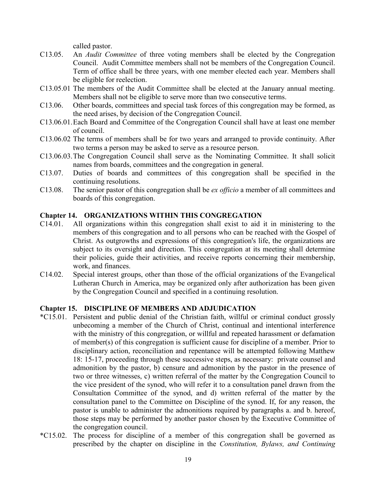called pastor.

- C13.05. An *Audit Committee* of three voting members shall be elected by the Congregation Council. Audit Committee members shall not be members of the Congregation Council. Term of office shall be three years, with one member elected each year. Members shall be eligible for reelection.
- C13.05.01 The members of the Audit Committee shall be elected at the January annual meeting. Members shall not be eligible to serve more than two consecutive terms.
- C13.06. Other boards, committees and special task forces of this congregation may be formed, as the need arises, by decision of the Congregation Council.
- C13.06.01.Each Board and Committee of the Congregation Council shall have at least one member of council.
- C13.06.02 The terms of members shall be for two years and arranged to provide continuity. After two terms a person may be asked to serve as a resource person.
- C13.06.03.The Congregation Council shall serve as the Nominating Committee. It shall solicit names from boards, committees and the congregation in general.
- C13.07. Duties of boards and committees of this congregation shall be specified in the continuing resolutions.
- C13.08. The senior pastor of this congregation shall be *ex officio* a member of all committees and boards of this congregation.

### **Chapter 14. ORGANIZATIONS WITHIN THIS CONGREGATION**

- C14.01. All organizations within this congregation shall exist to aid it in ministering to the members of this congregation and to all persons who can be reached with the Gospel of Christ. As outgrowths and expressions of this congregation's life, the organizations are subject to its oversight and direction. This congregation at its meeting shall determine their policies, guide their activities, and receive reports concerning their membership, work, and finances.
- C14.02. Special interest groups, other than those of the official organizations of the Evangelical Lutheran Church in America, may be organized only after authorization has been given by the Congregation Council and specified in a continuing resolution.

#### **Chapter 15. DISCIPLINE OF MEMBERS AND ADJUDICATION**

- \*C15.01. Persistent and public denial of the Christian faith, willful or criminal conduct grossly unbecoming a member of the Church of Christ, continual and intentional interference with the ministry of this congregation, or willful and repeated harassment or defamation of member(s) of this congregation is sufficient cause for discipline of a member. Prior to disciplinary action, reconciliation and repentance will be attempted following Matthew 18: 15-17, proceeding through these successive steps, as necessary: private counsel and admonition by the pastor, b) censure and admonition by the pastor in the presence of two or three witnesses, c) written referral of the matter by the Congregation Council to the vice president of the synod, who will refer it to a consultation panel drawn from the Consultation Committee of the synod, and d) written referral of the matter by the consultation panel to the Committee on Discipline of the synod. If, for any reason, the pastor is unable to administer the admonitions required by paragraphs a. and b. hereof, those steps may be performed by another pastor chosen by the Executive Committee of the congregation council.
- \*C15.02. The process for discipline of a member of this congregation shall be governed as prescribed by the chapter on discipline in the *Constitution, Bylaws, and Continuing*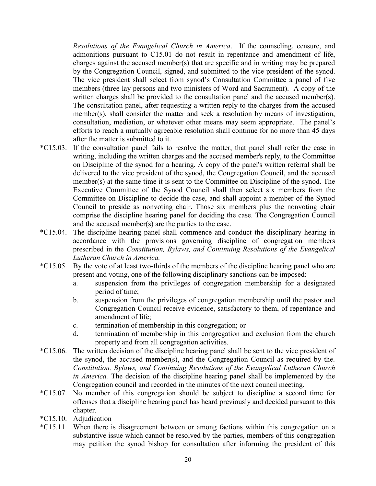*Resolutions of the Evangelical Church in America*. If the counseling, censure, and admonitions pursuant to C15.01 do not result in repentance and amendment of life, charges against the accused member(s) that are specific and in writing may be prepared by the Congregation Council, signed, and submitted to the vice president of the synod. The vice president shall select from synod's Consultation Committee a panel of five members (three lay persons and two ministers of Word and Sacrament). A copy of the written charges shall be provided to the consultation panel and the accused member(s). The consultation panel, after requesting a written reply to the charges from the accused member(s), shall consider the matter and seek a resolution by means of investigation, consultation, mediation, or whatever other means may seem appropriate. The panel's efforts to reach a mutually agreeable resolution shall continue for no more than 45 days after the matter is submitted to it.

- \*C15.03. If the consultation panel fails to resolve the matter, that panel shall refer the case in writing, including the written charges and the accused member's reply, to the Committee on Discipline of the synod for a hearing. A copy of the panel's written referral shall be delivered to the vice president of the synod, the Congregation Council, and the accused member(s) at the same time it is sent to the Committee on Discipline of the synod. The Executive Committee of the Synod Council shall then select six members from the Committee on Discipline to decide the case, and shall appoint a member of the Synod Council to preside as nonvoting chair. Those six members plus the nonvoting chair comprise the discipline hearing panel for deciding the case. The Congregation Council and the accused member(s) are the parties to the case.
- \*C15.04. The discipline hearing panel shall commence and conduct the disciplinary hearing in accordance with the provisions governing discipline of congregation members prescribed in the *Constitution, Bylaws, and Continuing Resolutions of the Evangelical Lutheran Church in America.*
- \*C15.05. By the vote of at least two-thirds of the members of the discipline hearing panel who are present and voting, one of the following disciplinary sanctions can be imposed:
	- a. suspension from the privileges of congregation membership for a designated period of time;
	- b. suspension from the privileges of congregation membership until the pastor and Congregation Council receive evidence, satisfactory to them, of repentance and amendment of life;
	- c. termination of membership in this congregation; or
	- d. termination of membership in this congregation and exclusion from the church property and from all congregation activities.
- \*C15.06. The written decision of the discipline hearing panel shall be sent to the vice president of the synod, the accused member(s), and the Congregation Council as required by the. *Constitution, Bylaws, and Continuing Resolutions of the Evangelical Lutheran Church in America.* The decision of the discipline hearing panel shall be implemented by the Congregation council and recorded in the minutes of the next council meeting.
- \*C15.07. No member of this congregation should be subject to discipline a second time for offenses that a discipline hearing panel has heard previously and decided pursuant to this chapter.
- \*C15.10. Adjudication
- \*C15.11. When there is disagreement between or among factions within this congregation on a substantive issue which cannot be resolved by the parties, members of this congregation may petition the synod bishop for consultation after informing the president of this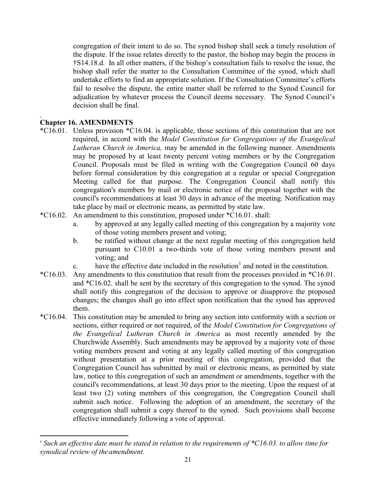congregation of their intent to do so. The synod bishop shall seek a timely resolution of the dispute. If the issue relates directly to the pastor, the bishop may begin the process in †S14.18.d. In all other matters, if the bishop's consultation fails to resolve the issue, the bishop shall refer the matter to the Consultation Committee of the synod, which shall undertake efforts to find an appropriate solution. If the Consultation Committee's efforts fail to resolve the dispute, the entire matter shall be referred to the Synod Council for adjudication by whatever process the Council deems necessary. The Synod Council's decision shall be final.

# **Chapter 16. AMENDMENTS**

l

- \*C16.01. Unless provision \*C16.04. is applicable, those sections of this constitution that are not required, in accord with the *Model Constitution for Congregations of the Evangelical Lutheran Church in America,* may be amended in the following manner. Amendments may be proposed by at least twenty percent voting members or by the Congregation Council. Proposals must be filed in writing with the Congregation Council 60 days before formal consideration by this congregation at a regular or special Congregation Meeting called for that purpose. The Congregation Council shall notify this congregation's members by mail or electronic notice of the proposal together with the council's recommendations at least 30 days in advance of the meeting. Notification may take place by mail or electronic means, as permitted by state law.
- \*C16.02. An amendment to this constitution, proposed under \*C16.01. shall:
	- a. by approved at any legally called meeting of this congregation by a majority vote of those voting members present and voting;
	- b. be ratified without change at the next regular meeting of this congregation held pursuant to C10.01 a two-thirds vote of those voting members present and voting; and
	- c. have the effective date included in the resolution<sup>1</sup> and noted in the constitution.
- \*C16.03. Any amendments to this constitution that result from the processes provided in \*C16.01. and \*C16.02. shall be sent by the secretary of this congregation to the synod. The synod shall notify this congregation of the decision to approve or disapprove the proposed changes; the changes shall go into effect upon notification that the synod has approved them.
- \*C16.04. This constitution may be amended to bring any section into conformity with a section or sections, either required or not required, of the *Model Constitution for Congregations of the Evangelical Lutheran Church in America* as most recently amended by the Churchwide Assembly. Such amendments may be approved by a majority vote of those voting members present and voting at any legally called meeting of this congregation without presentation at a prior meeting of this congregation, provided that the Congregation Council has submitted by mail or electronic means, as permitted by state law, notice to this congregation of such an amendment or amendments, together with the council's recommendations, at least 30 days prior to the meeting. Upon the request of at least two (2) voting members of this congregation, the Congregation Council shall submit such notice. Following the adoption of an amendment, the secretary of the congregation shall submit a copy thereof to the synod. Such provisions shall become effective immediately following a vote of approval.

<sup>1</sup> *Such an effective date must be stated in relation to the requirements of \*C16.03. to allow time for synodical review of theamendment.*